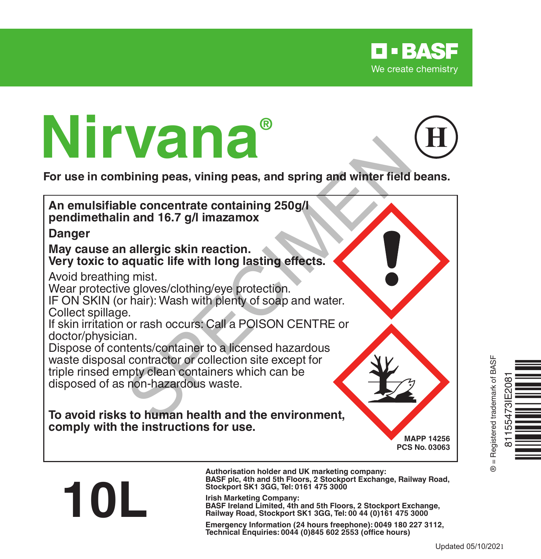

# **Nirvana®**

**10L**

**For use in combining peas, vining peas, and spring and winter field beans.**



**Authorisation holder and UK marketing company: BASF plc, 4th and 5th Floors, 2 Stockport Exchange, Railway Road, Stockport SK1 3GG, Tel: 0161 475 3000**

**Irish Marketing Company: BASF Ireland Limited, 4th and 5th Floors, 2 Stockport Exchange, Railway Road, Stockport SK1 3GG, Tel: 00 44 (0)161 475 3000**

**Emergency Information (24 hours freephone): 0049 <sup>180</sup> <sup>227</sup> 3112, Technical Enquiries: <sup>0044</sup> (0)845 <sup>602</sup> <sup>2553</sup> (office hours)**



Updated 05/10/2021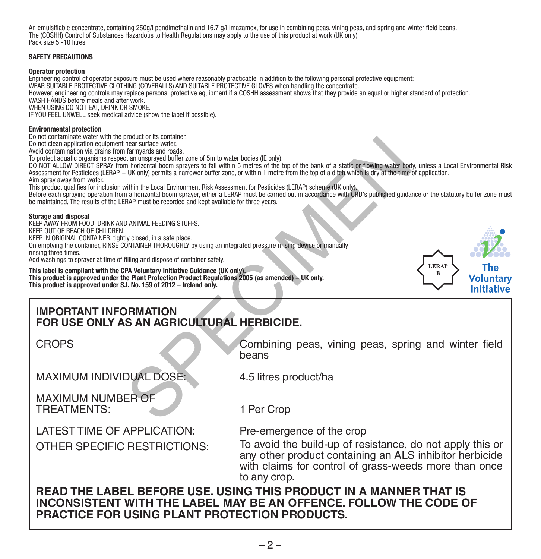An emulsifiable concentrate, containing 250g/l pendimethalin and 16.7 g/l imazamox, for use in combining peas, vining peas, and spring and winter field beans. The (COSHH) Control of Substances Hazardous to Health Regulations may apply to the use of this product at work (UK only) Pack size 5 -10 litres.

#### **SAFETY PRECAUTIONS**

#### **Operator protection**

Engineering control of operator exposure must be used where reasonably practicable in addition to the following personal protective equipment: WEAR SUITABLE PROTECTIVE CLOTHING (COVERALLS) AND SUITABLE PROTECTIVE GLOVES when handling the concentrate. However, engineering controls may replace personal protective equipment if a COSHH assessment shows that they provide an equal or higher standard of protection. WASH HANDS before meals and after work. WHEN USING DO NOT FAT DRINK OR SMOKE. IF YOU FEEL UNWELL seek medical advice (show the label if possible).

#### **Environmental protection**

Do not contaminate water with the product or its container.

Do not clean application equipment near surface water.

Avoid contamination via drains from farmyards and roads.

To protect aquatic organisms respect an unsprayed buffer zone of 5m to water bodies (IE only).

DO NOT ALLOW DIRECT SPRAY from horizontal boom sprayers to fall within 5 metres of the top of the bank of a static or flowing water body, unless a Local Environmental Risk Assessment for Pesticides (LERAP - UK only) permits a narrower buffer zone, or within 1 metre from the top of a ditch which is dry at the time of application. Aim spray away from water.

This product qualifies for inclusion within the Local Environment Risk Assessment for Pesticides (LERAP) scheme (UK only).

Before each spraying operation from a horizontal boom sprayer, either a LERAP must be carried out in accordance with CRD's published guidance or the statutory buffer zone must be maintained, The results of the LERAP must be recorded and kept available for three years.

#### **Storage and disposal**

KEEP AWAY FROM FOOD, DRINK AND ANIMAL FEEDING STUFFS. KEEP OUT OF REACH OF CHILDREN. KEEP IN ORIGINAL CONTAINER, tightly closed, in a safe place. On emptying the container, RINSE CONTAINER THOROUGHLY by using an integrated pressure rinsing device or manually rinsing three times. Add washings to sprayer at time of filling and dispose of container safely. Mount on is contained.<br>
The started water.<br>
The started and costal costs.<br>
The migraged buffer zone of 5m to water bodies (IE only).<br>
The migraged buffer zone of 5m to water hotels (IE only),<br>
The burstical boom sprayer to

**This label is compliant with the CPA Voluntary Initiative Guidance (UK only). This product is approved under the Plant Protection Product Regulations 2005 (as amended) – UK only. This product is approved under S.I. No. 159 of 2012 – Ireland only.**

### **IMPORTANT INFORMATION FOR USE ONLY AS AN AGRICULTURAL HERBICIDE.**

CROPS

Combining peas, vining peas, spring and winter field beans

LERA  $\overline{\mathbf{R}}$ 

Voluntarv **Initiative** 

MAXIMUM INDIVIDUAL DOSE:

4.5 litres product/ha

MAXIMUM NUMBER OF TREATMENTS:

1 Per Crop

LATEST TIME OF APPLICATION: Pre-emergence of the crop

OTHER SPECIFIC RESTRICTIONS: To avoid the build-up of resistance, do not apply this or any other product containing an ALS inhibitor herbicide with claims for control of grass-weeds more than once to any crop.

**READ THE LABEL BEFORE USE. USING THIS PRODUCT IN A MANNER THAT IS INCONSISTENT WITH THE LABEL MAY BE AN OFFENCE. FOLLOW THE CODE OF PRACTICE FOR USING PLANT PROTECTION PRODUCTS.**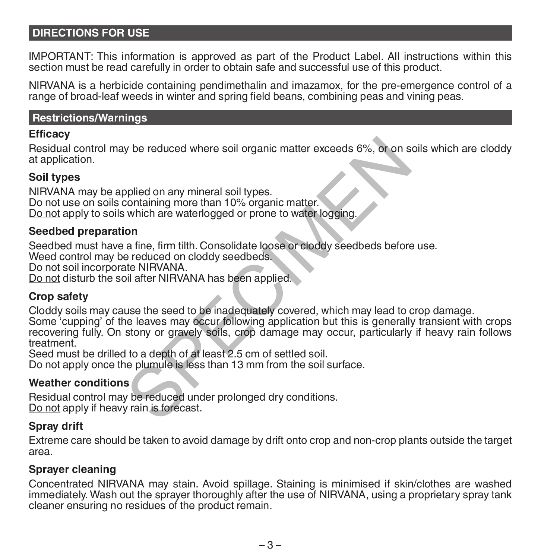# **DIRECTIONS FOR USE**

IMPORTANT: This information is approved as part of the Product Label. All instructions within this section must be read carefully in order to obtain safe and successful use of this product.

NIRVANA is a herbicide containing pendimethalin and imazamox, for the pre-emergence control of a range of broad-leaf weeds in winter and spring field beans, combining peas and vining peas.

#### **Restrictions/Warnings**

#### **Efficacy**

Residual control may be reduced where soil organic matter exceeds 6%, or on soils which are cloddy at application.

# **Soil types**

NIRVANA may be applied on any mineral soil types. Do not use on soils containing more than 10% organic matter. Do not apply to soils which are waterlogged or prone to water logging.

### **Seedbed preparation**

Seedbed must have a fine, firm tilth. Consolidate loose or cloddy seedbeds before use.

Weed control may be reduced on cloddy seedbeds.

Do not soil incorporate NIRVANA.

Do not disturb the soil after NIRVANA has been applied.

### **Crop safety**

Cloddy soils may cause the seed to be inadequately covered, which may lead to crop damage. Some 'cupping' of the leaves may occur following application but this is generally transient with crops recovering fully. On stony or gravely soils, crop damage may occur, particularly if heavy rain follows treatment. be reduced where soil organic matter exceeds 6%, or on s<br>
splied on any mineral soil types.<br>
containing more than 10% organic matter.<br>
which are waterlogged or prone to water logging.<br>
on<br>
a fine, firm tilth. Consolidate l

Seed must be drilled to a depth of at least 2.5 cm of settled soil.

Do not apply once the plumule is less than 13 mm from the soil surface.

# **Weather conditions**

Residual control may be reduced under prolonged dry conditions. Do not apply if heavy rain is forecast.

### **Spray drift**

Extreme care should be taken to avoid damage by drift onto crop and non-crop plants outside the target area.

## **Sprayer cleaning**

Concentrated NIRVANA may stain. Avoid spillage. Staining is minimised if skin/clothes are washed immediately. Wash out the sprayer thoroughly after the use of NIRVANA, using a proprietary spray tank cleaner ensuring no residues of the product remain.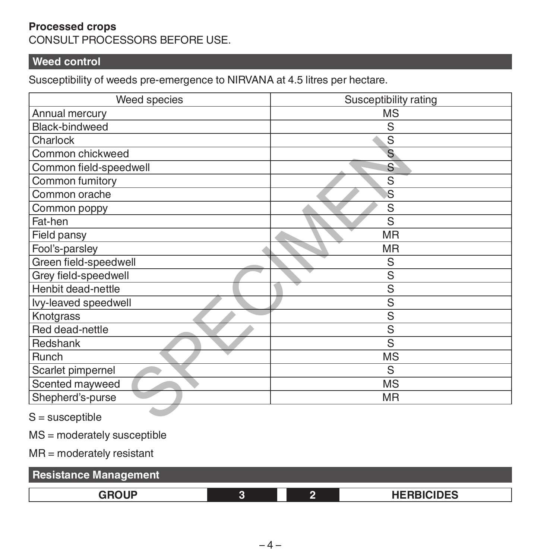# **Processed crops** CONSULT PROCESSORS BEFORE USE.

# **Weed control**

Susceptibility of weeds pre-emergence to NIRVANA at 4.5 litres per hectare.

| Weed species           | Susceptibility rating   |  |  |
|------------------------|-------------------------|--|--|
| Annual mercury         | MS                      |  |  |
| Black-bindweed         | S                       |  |  |
| Charlock               | S                       |  |  |
| Common chickweed       | S                       |  |  |
| Common field-speedwell | S                       |  |  |
| Common fumitory        | S                       |  |  |
| Common orache          | $\overline{\mathbf{s}}$ |  |  |
| Common poppy           | S                       |  |  |
| Fat-hen                | S                       |  |  |
| Field pansy            | <b>MR</b>               |  |  |
| Fool's-parsley         | <b>MR</b>               |  |  |
| Green field-speedwell  | S                       |  |  |
| Grey field-speedwell   | S                       |  |  |
| Henbit dead-nettle     | S                       |  |  |
| Ivy-leaved speedwell   | S                       |  |  |
| Knotgrass              | S                       |  |  |
| Red dead-nettle        | $\overline{s}$          |  |  |
| Redshank               | S                       |  |  |
| Runch                  | <b>MS</b>               |  |  |
| Scarlet pimpernel      | S                       |  |  |
| Scented mayweed        | <b>MS</b>               |  |  |
| Shepherd's-purse       | <b>MR</b>               |  |  |
| $S =$ susceptible      |                         |  |  |

MS = moderately susceptible

MR = moderately resistant

| <b>Resistance Management</b> |  |  |                   |  |
|------------------------------|--|--|-------------------|--|
| GROUP                        |  |  | <b>HERBICIDES</b> |  |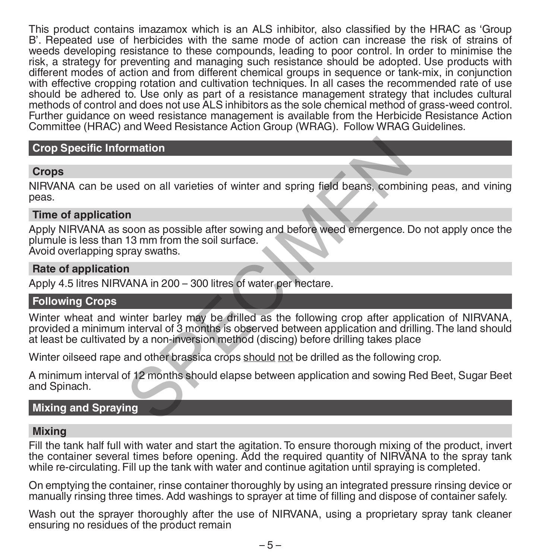This product contains imazamox which is an ALS inhibitor, also classified by the HRAC as 'Group B'. Repeated use of herbicides with the same mode of action can increase the risk of strains of weeds developing resistance to these compounds, leading to poor control. In order to minimise the risk, a strategy for preventing and managing such resistance should be adopted. Use products with different modes of action and from different chemical groups in sequence or tank-mix, in conjunction with effective cropping rotation and cultivation techniques. In all cases the recommended rate of use should be adhered to. Use only as part of a resistance management strategy that includes cultural methods of control and does not use ALS inhibitors as the sole chemical method of grass-weed control. Further guidance on weed resistance management is available from the Herbicide Resistance Action Committee (HRAC) and Weed Resistance Action Group (WRAG). Follow WRAG Guidelines.

# **Crop Specific Information**

# **Crops**

NIRVANA can be used on all varieties of winter and spring field beans, combining peas, and vining peas.

## **Time of application**

Apply NIRVANA as soon as possible after sowing and before weed emergence. Do not apply once the plumule is less than 13 mm from the soil surface. Avoid overlapping spray swaths.

## **Rate of application**

Apply 4.5 litres NIRVANA in 200 – 300 litres of water per hectare.

# **Following Crops**

Winter wheat and winter barley may be drilled as the following crop after application of NIRVANA, provided a minimum interval of 3 months is observed between application and drilling. The land should at least be cultivated by a non-inversion method (discing) before drilling takes place Francisco and all varieties of winter and spring field beans, combined<br>
Sed on all varieties of winter and spring field beans, combined<br>
Second as possible after sowing and before weed emergence. I<br>
Survey swaths.<br>
The spr

Winter oilseed rape and other brassica crops should not be drilled as the following crop.

A minimum interval of 12 months should elapse between application and sowing Red Beet, Sugar Beet and Spinach.

# **Mixing and Spraying**

## **Mixing**

Fill the tank half full with water and start the agitation. To ensure thorough mixing of the product, invert the container several times before opening. Add the required quantity of NIRVANA to the spray tank while re-circulating. Fill up the tank with water and continue agitation until spraying is completed.

On emptying the container, rinse container thoroughly by using an integrated pressure rinsing device or manually rinsing three times. Add washings to sprayer at time of filling and dispose of container safely.

Wash out the sprayer thoroughly after the use of NIRVANA, using a proprietary spray tank cleaner ensuring no residues of the product remain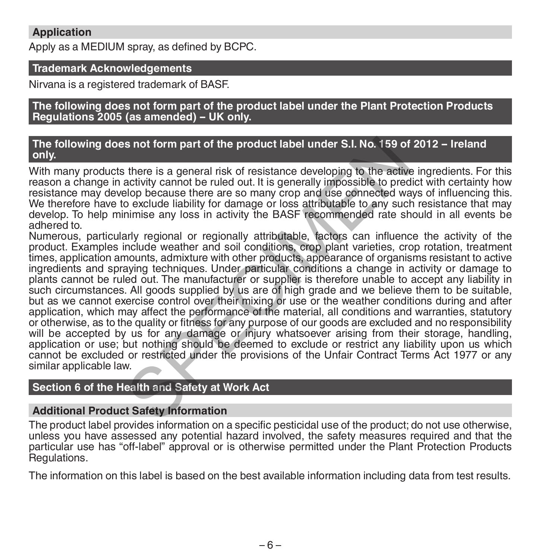# **Application**

Apply as a MEDIUM spray, as defined by BCPC.

# **Trademark Acknowledgements**

Nirvana is a registered trademark of BASF.

**The following does not form part of the product label under the Plant Protection Products Regulations 2005 (as amended) - UK only.**

### **The following does not form part of the product label under S.I. No. 159 of 2012 - Ireland only.**

With many products there is a general risk of resistance developing to the active ingredients. For this reason a change in activity cannot be ruled out. It is generally impossible to predict with certainty how resistance may develop because there are so many crop and use connected ways of influencing this. We therefore have to exclude liability for damage or loss attributable to any such resistance that may develop. To help minimise any loss in activity the BASF recommended rate should in all events be adhered to.

Numerous, particularly regional or regionally attributable, factors can influence the activity of the product. Examples include weather and soil conditions, crop plant varieties, crop rotation, treatment times, application amounts, admixture with other products, appearance of organisms resistant to active ingredients and spraying techniques. Under particular conditions a change in activity or damage to plants cannot be ruled out. The manufacturer or supplier is therefore unable to accept any liability in such circumstances. All goods supplied by us are of high grade and we believe them to be suitable, but as we cannot exercise control over their mixing or use or the weather conditions during and after application, which may affect the performance of the material, all conditions and warranties, statutory or otherwise, as to the quality or fitness for any purpose of our goods are excluded and no responsibility will be accepted by us for any damage or injury whatsoever arising from their storage, handling, application or use; but nothing should be deemed to exclude or restrict any liability upon us which cannot be excluded or restricted under the provisions of the Unfair Contract Terms Act 1977 or any similar applicable law. s not form part of the product label under S.I. No. 159 of<br>there is a general risk of resistance developing to the active<br>there is a general risk of resistance developing to the active<br>devicity cannot be ruled out. It is g

# **Section 6 of the Health and Safety at Work Act**

# **Additional Product Safety Information**

The product label provides information on a specific pesticidal use of the product; do not use otherwise, unless you have assessed any potential hazard involved, the safety measures required and that the particular use has "off-label" approval or is otherwise permitted under the Plant Protection Products Regulations.

The information on this label is based on the best available information including data from test results.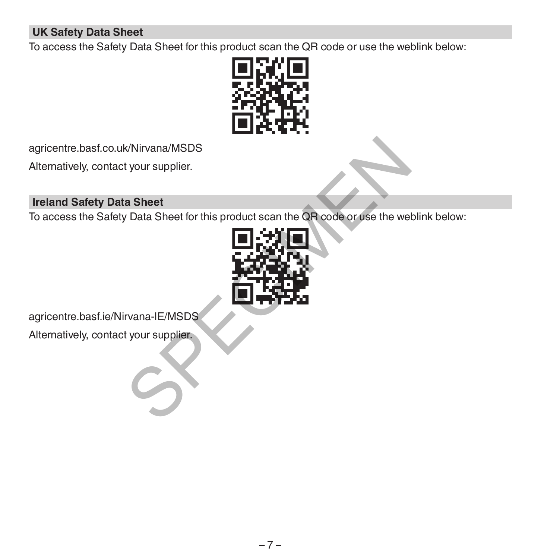# **UK Safety Data Sheet**

To access the Safety Data Sheet for this product scan the QR code or use the weblink below:



agricentre.basf.co.uk/Nirvana/MSDS

Alternatively, contact your supplier.

# **Ireland Safety Data Sheet**

To access the Safety Data Sheet for this product scan the QR code or use the weblink below:



agricentre.basf.ie/Nirvana-IE/MSDS

Alternatively, contact your supplier.